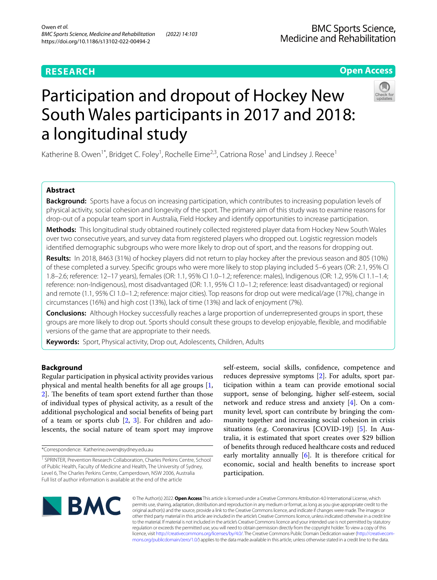# **Open Access**



# Participation and dropout of Hockey New South Wales participants in 2017 and 2018: a longitudinal study

Katherine B. Owen<sup>1\*</sup>, Bridget C. Foley<sup>1</sup>, Rochelle Eime<sup>2,3</sup>, Catriona Rose<sup>1</sup> and Lindsey J. Reece<sup>1</sup>

# **Abstract**

**Background:** Sports have a focus on increasing participation, which contributes to increasing population levels of physical activity, social cohesion and longevity of the sport. The primary aim of this study was to examine reasons for drop-out of a popular team sport in Australia, Field Hockey and identify opportunities to increase participation.

**Methods:** This longitudinal study obtained routinely collected registered player data from Hockey New South Wales over two consecutive years, and survey data from registered players who dropped out. Logistic regression models identifed demographic subgroups who were more likely to drop out of sport, and the reasons for dropping out.

**Results:** In 2018, 8463 (31%) of hockey players did not return to play hockey after the previous season and 805 (10%) of these completed a survey. Specifc groups who were more likely to stop playing included 5–6 years (OR: 2.1, 95% CI 1.8–2.6; reference: 12–17 years), females (OR: 1.1, 95% CI 1.0–1.2; reference: males), Indigenous (OR: 1.2, 95% CI 1.1–1.4; reference: non-Indigenous), most disadvantaged (OR: 1.1, 95% CI 1.0–1.2; reference: least disadvantaged) or regional and remote (1.1, 95% CI 1.0–1.2; reference: major cities). Top reasons for drop out were medical/age (17%), change in circumstances (16%) and high cost (13%), lack of time (13%) and lack of enjoyment (7%).

**Conclusions:** Although Hockey successfully reaches a large proportion of underrepresented groups in sport, these groups are more likely to drop out. Sports should consult these groups to develop enjoyable, fexible, and modifable versions of the game that are appropriate to their needs.

**Keywords:** Sport, Physical activity, Drop out, Adolescents, Children, Adults

# **Background**

Regular participation in physical activity provides various physical and mental health benefts for all age groups [\[1](#page-7-0), 2. The benefits of team sport extend further than those of individual types of physical activity, as a result of the additional psychological and social benefts of being part of a team or sports club  $[2, 3]$  $[2, 3]$  $[2, 3]$ . For children and adolescents, the social nature of team sport may improve self-esteem, social skills, confdence, competence and reduces depressive symptoms [[2\]](#page-7-1). For adults, sport participation within a team can provide emotional social support, sense of belonging, higher self-esteem, social network and reduce stress and anxiety [[4\]](#page-7-3). On a community level, sport can contribute by bringing the community together and increasing social cohesion in crisis situations (e.g. Coronavirus **[**COVID-19]) [\[5\]](#page-7-4). In Australia, it is estimated that sport creates over \$29 billion of benefts through reduced healthcare costs and reduced early mortality annually  $[6]$  $[6]$ . It is therefore critical for economic, social and health benefts to increase sport participation.



© The Author(s) 2022. **Open Access** This article is licensed under a Creative Commons Attribution 4.0 International License, which permits use, sharing, adaptation, distribution and reproduction in any medium or format, as long as you give appropriate credit to the original author(s) and the source, provide a link to the Creative Commons licence, and indicate if changes were made. The images or other third party material in this article are included in the article's Creative Commons licence, unless indicated otherwise in a credit line to the material. If material is not included in the article's Creative Commons licence and your intended use is not permitted by statutory regulation or exceeds the permitted use, you will need to obtain permission directly from the copyright holder. To view a copy of this licence, visit [http://creativecommons.org/licenses/by/4.0/.](http://creativecommons.org/licenses/by/4.0/) The Creative Commons Public Domain Dedication waiver ([http://creativecom](http://creativecommons.org/publicdomain/zero/1.0/)[mons.org/publicdomain/zero/1.0/\)](http://creativecommons.org/publicdomain/zero/1.0/) applies to the data made available in this article, unless otherwise stated in a credit line to the data.

<sup>\*</sup>Correspondence: Katherine.owen@sydney.edu.au

<sup>&</sup>lt;sup>1</sup> SPRINTER, Prevention Research Collaboration, Charles Perkins Centre, School of Public Health, Faculty of Medicine and Health, The University of Sydney, Level 6, The Charles Perkins Centre, Camperdown, NSW 2006, Australia Full list of author information is available at the end of the article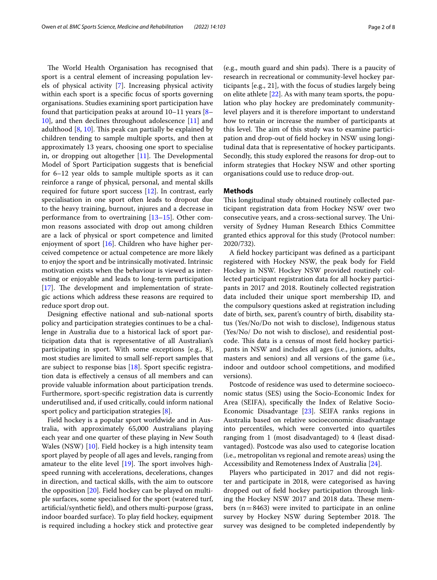The World Health Organisation has recognised that sport is a central element of increasing population levels of physical activity [[7](#page-7-6)]. Increasing physical activity within each sport is a specifc focus of sports governing organisations. Studies examining sport participation have found that participation peaks at around 10–11 years [[8–](#page-7-7) [10\]](#page-7-8), and then declines throughout adolescence [[11\]](#page-7-9) and adulthood  $[8, 10]$  $[8, 10]$  $[8, 10]$ . This peak can partially be explained by children tending to sample multiple sports, and then at approximately 13 years, choosing one sport to specialise in, or dropping out altogether  $[11]$  $[11]$ . The Developmental Model of Sport Participation suggests that is benefcial for 6–12 year olds to sample multiple sports as it can reinforce a range of physical, personal, and mental skills required for future sport success [\[12](#page-7-10)]. In contrast, early specialisation in one sport often leads to dropout due to the heavy training, burnout, injures and a decrease in performance from to overtraining  $[13-15]$  $[13-15]$ . Other common reasons associated with drop out among children are a lack of physical or sport competence and limited enjoyment of sport [[16\]](#page-7-13). Children who have higher perceived competence or actual competence are more likely to enjoy the sport and be intrinsically motivated. Intrinsic motivation exists when the behaviour is viewed as interesting or enjoyable and leads to long-term participation  $[17]$  $[17]$ . The development and implementation of strategic actions which address these reasons are required to reduce sport drop out.

Designing efective national and sub-national sports policy and participation strategies continues to be a challenge in Australia due to a historical lack of sport participation data that is representative of all Australian's participating in sport. With some exceptions [e.g., 8], most studies are limited to small self-report samples that are subject to response bias [\[18\]](#page-7-15). Sport specifc registration data is efectively a census of all members and can provide valuable information about participation trends. Furthermore, sport-specifc registration data is currently underutilised and, if used critically, could inform national sport policy and participation strategies [\[8](#page-7-7)].

Field hockey is a popular sport worldwide and in Australia, with approximately 65,000 Australians playing each year and one quarter of these playing in New South Wales (NSW) [\[10\]](#page-7-8). Field hockey is a high intensity team sport played by people of all ages and levels, ranging from amateur to the elite level  $[19]$ . The sport involves highspeed running with accelerations, decelerations, changes in direction, and tactical skills, with the aim to outscore the opposition [[20\]](#page-7-17). Field hockey can be played on multiple surfaces, some specialised for the sport (watered turf, artifcial/synthetic feld), and others multi-purpose (grass, indoor boarded surface). To play feld hockey, equipment is required including a hockey stick and protective gear

(e.g., mouth guard and shin pads). There is a paucity of research in recreational or community-level hockey participants [e.g., 21], with the focus of studies largely being on elite athlete [\[22\]](#page-7-18). As with many team sports, the population who play hockey are predominately communitylevel players and it is therefore important to understand how to retain or increase the number of participants at this level. The aim of this study was to examine participation and drop-out of feld hockey in NSW using longitudinal data that is representative of hockey participants. Secondly, this study explored the reasons for drop-out to inform strategies that Hockey NSW and other sporting organisations could use to reduce drop-out.

## **Methods**

This longitudinal study obtained routinely collected participant registration data from Hockey NSW over two consecutive years, and a cross-sectional survey. The University of Sydney Human Research Ethics Committee granted ethics approval for this study (Protocol number: 2020/732).

A feld hockey participant was defned as a participant registered with Hockey NSW, the peak body for Field Hockey in NSW. Hockey NSW provided routinely collected participant registration data for all hockey participants in 2017 and 2018. Routinely collected registration data included their unique sport membership ID, and the compulsory questions asked at registration including date of birth, sex, parent's country of birth, disability status (Yes/No/Do not wish to disclose), Indigenous status (Yes/No/ Do not wish to disclose), and residential postcode. This data is a census of most field hockey participants in NSW and includes all ages (i.e., juniors, adults, masters and seniors) and all versions of the game (i.e., indoor and outdoor school competitions, and modifed versions).

Postcode of residence was used to determine socioeconomic status (SES) using the Socio-Economic Index for Area (SEIFA), specifcally the Index of Relative Socio-Economic Disadvantage [[23\]](#page-7-19). SEIFA ranks regions in Australia based on relative socioeconomic disadvantage into percentiles, which were converted into quartiles ranging from 1 (most disadvantaged) to 4 (least disadvantaged). Postcode was also used to categorise location (i.e., metropolitan vs regional and remote areas) using the Accessibility and Remoteness Index of Australia [\[24](#page-7-20)].

Players who participated in 2017 and did not register and participate in 2018, were categorised as having dropped out of feld hockey participation through linking the Hockey NSW 2017 and 2018 data. These members  $(n=8463)$  were invited to participate in an online survey by Hockey NSW during September 2018. The survey was designed to be completed independently by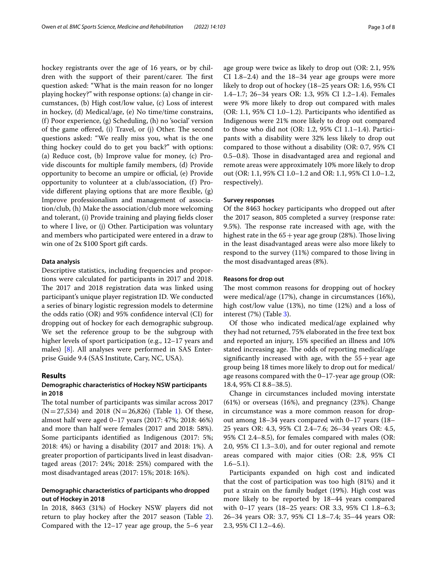hockey registrants over the age of 16 years, or by children with the support of their parent/carer. The first question asked: "What is the main reason for no longer playing hockey?" with response options: (a) change in circumstances, (b) High cost/low value, (c) Loss of interest in hockey, (d) Medical/age, (e) No time/time constrains, (f) Poor experience, (g) Scheduling, (h) no 'social' version of the game offered, (i) Travel, or (j) Other. The second questions asked: "We really miss you, what is the one thing hockey could do to get you back?" with options: (a) Reduce cost, (b) Improve value for money, (c) Provide discounts for multiple family members, (d) Provide opportunity to become an umpire or official, (e) Provide opportunity to volunteer at a club/association, (f) Provide diferent playing options that are more fexible, (g) Improve professionalism and management of association/club, (h) Make the association/club more welcoming and tolerant, (i) Provide training and playing felds closer to where I live, or (j) Other. Participation was voluntary and members who participated were entered in a draw to win one of 2x \$100 Sport gift cards.

## **Data analysis**

Descriptive statistics, including frequencies and proportions were calculated for participants in 2017 and 2018. The 2017 and 2018 registration data was linked using participant's unique player registration ID. We conducted a series of binary logistic regression models to determine the odds ratio (OR) and 95% confdence interval (CI) for dropping out of hockey for each demographic subgroup. We set the reference group to be the subgroup with higher levels of sport participation (e.g., 12–17 years and males) [[8\]](#page-7-7). All analyses were performed in SAS Enterprise Guide 9.4 (SAS Institute, Cary, NC, USA).

## **Results**

## **Demographic characteristics of Hockey NSW participants in 2018**

The total number of participants was similar across 2017  $(N=27,534)$  and 20[1](#page-3-0)8  $(N=26,826)$  (Table 1). Of these, almost half were aged 0–17 years (2017: 47%; 2018: 46%) and more than half were females (2017 and 2018: 58%). Some participants identifed as Indigenous (2017: 5%; 2018: 4%) or having a disability (2017 and 2018: 1%). A greater proportion of participants lived in least disadvantaged areas (2017: 24%; 2018: 25%) compared with the most disadvantaged areas (2017: 15%; 2018: 16%).

## **Demographic characteristics of participants who dropped out of Hockey in 2018**

In 2018, 8463 (31%) of Hockey NSW players did not return to play hockey after the 2017 season (Table [2](#page-4-0)). Compared with the 12–17 year age group, the 5–6 year age group were twice as likely to drop out (OR: 2.1, 95% CI 1.8–2.4) and the 18–34 year age groups were more likely to drop out of hockey (18–25 years OR: 1.6, 95% CI 1.4–1.7; 26–34 years OR: 1.3, 95% CI 1.2–1.4). Females were 9% more likely to drop out compared with males (OR: 1.1, 95% CI 1.0–1.2). Participants who identifed as Indigenous were 21% more likely to drop out compared to those who did not (OR: 1.2, 95% CI 1.1–1.4). Participants with a disability were 32% less likely to drop out compared to those without a disability (OR: 0.7, 95% CI 0.5–0.8). Those in disadvantaged area and regional and remote areas were approximately 10% more likely to drop out (OR: 1.1, 95% CI 1.0–1.2 and OR: 1.1, 95% CI 1.0–1.2, respectively).

#### **Survey responses**

Of the 8463 hockey participants who dropped out after the 2017 season, 805 completed a survey (response rate: 9.5%). The response rate increased with age, with the highest rate in the  $65 +$ year age group (28%). Those living in the least disadvantaged areas were also more likely to respond to the survey (11%) compared to those living in the most disadvantaged areas (8%).

## **Reasons for drop out**

The most common reasons for dropping out of hockey were medical/age (17%), change in circumstances (16%), high cost/low value (13%), no time (12%) and a loss of interest (7%) (Table [3](#page-5-0)).

Of those who indicated medical/age explained why they had not returned, 75% elaborated in the free text box and reported an injury, 15% specifed an illness and 10% stated increasing age. The odds of reporting medical/age significantly increased with age, with the  $55 + year$  age group being 18 times more likely to drop out for medical/ age reasons compared with the 0–17-year age group (OR: 18.4, 95% CI 8.8–38.5).

Change in circumstances included moving interstate (61%) or overseas (16%), and pregnancy (23%). Change in circumstance was a more common reason for dropout among 18–34 years compared with 0–17 years (18– 25 years OR: 4.3, 95% CI 2.4–7.6; 26–34 years OR: 4.5, 95% CI 2.4–8.5), for females compared with males (OR: 2.0, 95% CI 1.3–3.0), and for outer regional and remote areas compared with major cities (OR: 2.8, 95% CI  $1.6 - 5.1$ ).

Participants expanded on high cost and indicated that the cost of participation was too high (81%) and it put a strain on the family budget (19%). High cost was more likely to be reported by 18–44 years compared with 0–17 years (18–25 years: OR 3.3, 95% CI 1.8–6.3; 26–34 years OR: 3.7, 95% CI 1.8–7.4; 35–44 years OR: 2.3, 95% CI 1.2–4.6).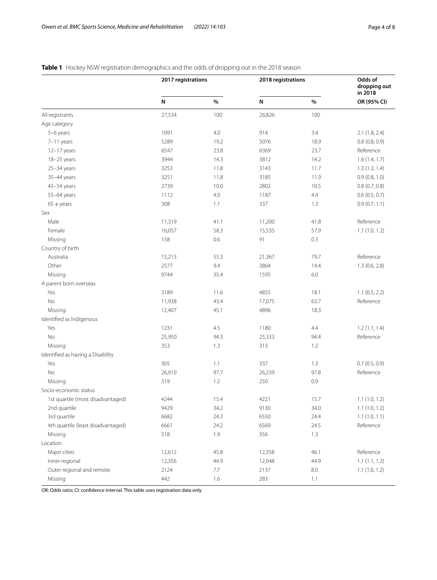|                                    | 2017 registrations |      | 2018 registrations |         | Odds of<br>dropping out<br>in 2018 |
|------------------------------------|--------------------|------|--------------------|---------|------------------------------------|
|                                    | N                  | $\%$ | N                  | $\%$    | OR (95% CI)                        |
| All registrants                    | 27,534             | 100  | 26,826             | 100     |                                    |
| Age category                       |                    |      |                    |         |                                    |
| 5-6 years                          | 1091               | 4.0  | 914                | 3.4     | 2.1(1.8, 2.4)                      |
| 7-11 years                         | 5289               | 19.2 | 5076               | 18.9    | 0.8(0.8, 0.9)                      |
| 12-17 years                        | 6547               | 23.8 | 6369               | 23.7    | Reference                          |
| 18-25 years                        | 3944               | 14.3 | 3812               | 14.2    | 1.6(1.4, 1.7)                      |
| $25 - 34$ years                    | 3253               | 11.8 | 3143               | 11.7    | 1.3(1.2, 1.4)                      |
| 35-44 years                        | 3251               | 11.8 | 3185               | 11.9    | 0.9(0.8, 1.0)                      |
| 45-54 years                        | 2739               | 10.0 | 2802               | 10.5    | 0.8(0.7, 0.8)                      |
| 55-64 years                        | 1112               | 4.0  | 1187               | 4.4     | 0.6(0.5, 0.7)                      |
| $65 + \text{years}$                | 308                | 1.1  | 337                | 1.3     | 0.9(0.7, 1.1)                      |
| Sex                                |                    |      |                    |         |                                    |
| Male                               | 11,319             | 41.1 | 11,200             | 41.8    | Reference                          |
| Female                             | 16,057             | 58.3 | 15,535             | 57.9    | 1.1(1.0, 1.2)                      |
| Missing                            | 158                | 0.6  | 91                 | 0.3     |                                    |
| Country of birth                   |                    |      |                    |         |                                    |
| Australia                          | 15,213             | 55.3 | 21,367             | 79.7    | Reference                          |
| Other                              | 2577               | 9.4  | 3864               | 14.4    | 1.3(0.6, 2.8)                      |
| Missing                            | 9744               | 35.4 | 1595               | $6.0\,$ |                                    |
| A parent born overseas             |                    |      |                    |         |                                    |
| Yes                                | 3189               | 11.6 | 4855               | 18.1    | 1.1(0.5, 2.2)                      |
| No                                 | 11,938             | 43.4 | 17,075             | 63.7    | Reference                          |
| Missing                            | 12,407             | 45.1 | 4896               | 18.3    |                                    |
| Identified as Indigenous           |                    |      |                    |         |                                    |
| Yes                                | 1231               | 4.5  | 1180               | 4.4     | 1.2(1.1, 1.4)                      |
| No                                 | 25,950             | 94.3 | 25,333             | 94.4    | Reference                          |
| Missing                            | 353                | 1.3  | 313                | 1.2     |                                    |
| Identified as having a Disability  |                    |      |                    |         |                                    |
| Yes                                | 305                | 1.1  | 337                | 1.3     | 0.7(0.5, 0.9)                      |
| No                                 | 26,910             | 97.7 | 26,239             | 97.8    | Reference                          |
| Missing                            | 319                | 1.2  | 250                | 0.9     |                                    |
| Socio-economic status              |                    |      |                    |         |                                    |
| 1st quartile (most disadvantaged)  | 4244               | 15.4 | 4221               | 15.7    | 1.1(1.0, 1.2)                      |
| 2nd quartile                       | 9429               | 34.2 | 9130               | 34.0    | 1.1(1.0, 1.2)                      |
| 3rd quartile                       | 6682               | 24.3 | 6550               | 24.4    | 1.1(1.0, 1.1)                      |
| 4th quartile (least disadvantaged) | 6661               | 24.2 | 6569               | 24.5    | Reference                          |
| Missing                            | 518                | 1.9  | 356                | 1.3     |                                    |
| Location                           |                    |      |                    |         |                                    |
| Major cities                       | 12,612             | 45.8 | 12,358             | 46.1    | Reference                          |
| Inner regional                     | 12,356             | 44.9 | 12,048             | 44.9    | 1.1(1.1, 1.2)                      |
| Outer regional and remote          | 2124               | 7.7  | 2137               | $8.0\,$ | 1.1(1.0, 1.2)                      |
| Missing                            | 442                | 1.6  | 283                | 1.1     |                                    |

## <span id="page-3-0"></span>**Table 1** Hockey NSW registration demographics and the odds of dropping out in the 2018 season

OR: Odds ratio; CI: confdence interval. This table uses registration data only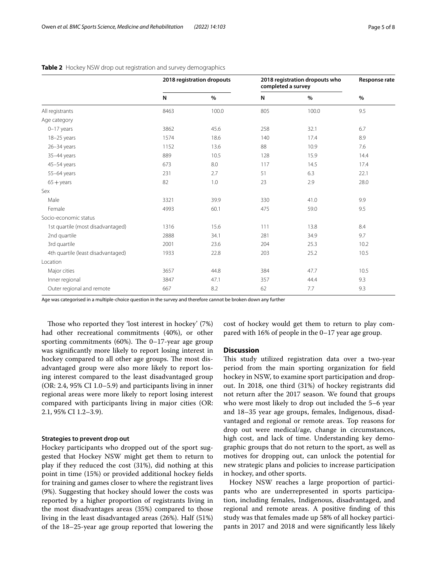|                                    | 2018 registration dropouts |       | 2018 registration dropouts who<br>completed a survey |       | Response rate |
|------------------------------------|----------------------------|-------|------------------------------------------------------|-------|---------------|
|                                    | N                          | $\%$  | N                                                    | $\%$  | $\%$          |
| All registrants                    | 8463                       | 100.0 | 805                                                  | 100.0 | 9.5           |
| Age category                       |                            |       |                                                      |       |               |
| $0-17$ years                       | 3862                       | 45.6  | 258                                                  | 32.1  | 6.7           |
| 18-25 years                        | 1574                       | 18.6  | 140                                                  | 17.4  | 8.9           |
| $26 - 34$ years                    | 1152                       | 13.6  | 88                                                   | 10.9  | 7.6           |
| 35-44 years                        | 889                        | 10.5  | 128                                                  | 15.9  | 14.4          |
| 45-54 years                        | 673                        | 8.0   | 117                                                  | 14.5  | 17.4          |
| 55-64 years                        | 231                        | 2.7   | 51                                                   | 6.3   | 22.1          |
| $65 + \text{years}$                | 82                         | 1.0   | 23                                                   | 2.9   | 28.0          |
| Sex                                |                            |       |                                                      |       |               |
| Male                               | 3321                       | 39.9  | 330                                                  | 41.0  | 9.9           |
| Female                             | 4993                       | 60.1  | 475                                                  | 59.0  | 9.5           |
| Socio-economic status              |                            |       |                                                      |       |               |
| 1st quartile (most disadvantaged)  | 1316                       | 15.6  | 111                                                  | 13.8  | 8.4           |
| 2nd quartile                       | 2888                       | 34.1  | 281                                                  | 34.9  | 9.7           |
| 3rd quartile                       | 2001                       | 23.6  | 204                                                  | 25.3  | 10.2          |
| 4th quartile (least disadvantaged) | 1933                       | 22.8  | 203                                                  | 25.2  | 10.5          |
| Location                           |                            |       |                                                      |       |               |
| Major cities                       | 3657                       | 44.8  | 384                                                  | 47.7  | 10.5          |
| Inner regional                     | 3847                       | 47.1  | 357                                                  | 44.4  | 9.3           |
| Outer regional and remote          | 667                        | 8.2   | 62                                                   | 7.7   | 9.3           |

#### <span id="page-4-0"></span>**Table 2** Hockey NSW drop out registration and survey demographics

Age was categorised in a multiple-choice question in the survey and therefore cannot be broken down any further

Those who reported they 'lost interest in hockey' (7%) had other recreational commitments (40%), or other sporting commitments  $(60\%)$ . The 0-17-year age group was signifcantly more likely to report losing interest in hockey compared to all other age groups. The most disadvantaged group were also more likely to report losing interest compared to the least disadvantaged group (OR: 2.4, 95% CI 1.0–5.9) and participants living in inner regional areas were more likely to report losing interest compared with participants living in major cities (OR: 2.1, 95% CI 1.2–3.9).

### **Strategies to prevent drop out**

Hockey participants who dropped out of the sport suggested that Hockey NSW might get them to return to play if they reduced the cost (31%), did nothing at this point in time (15%) or provided additional hockey felds for training and games closer to where the registrant lives (9%). Suggesting that hockey should lower the costs was reported by a higher proportion of registrants living in the most disadvantages areas (35%) compared to those living in the least disadvantaged areas (26%). Half (51%) of the 18–25-year age group reported that lowering the

cost of hockey would get them to return to play compared with 16% of people in the 0–17 year age group.

## **Discussion**

This study utilized registration data over a two-year period from the main sporting organization for feld hockey in NSW, to examine sport participation and dropout. In 2018, one third (31%) of hockey registrants did not return after the 2017 season. We found that groups who were most likely to drop out included the 5–6 year and 18–35 year age groups, females, Indigenous, disadvantaged and regional or remote areas. Top reasons for drop out were medical/age, change in circumstances, high cost, and lack of time. Understanding key demographic groups that do not return to the sport, as well as motives for dropping out, can unlock the potential for new strategic plans and policies to increase participation in hockey, and other sports.

Hockey NSW reaches a large proportion of participants who are underrepresented in sports participation, including females, Indigenous, disadvantaged, and regional and remote areas. A positive fnding of this study was that females made up 58% of all hockey participants in 2017 and 2018 and were signifcantly less likely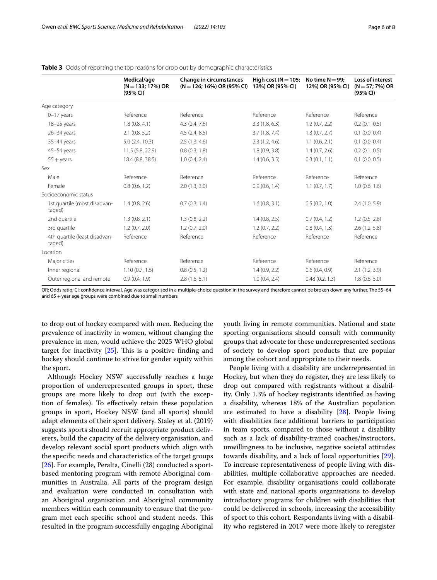|                                         | Medical/age<br>$(N = 133; 17%)$ OR<br>(95% CI) | <b>Change in circumstances</b><br>$(N = 126; 16\%)$ OR (95% CI) | High cost ( $N = 105$ ;<br>13%) OR (95% CI) | No time $N = 99$ ;<br>12%) OR (95% CI) | Loss of interest<br>$(N = 57; 7%) OR$<br>(95% CI) |
|-----------------------------------------|------------------------------------------------|-----------------------------------------------------------------|---------------------------------------------|----------------------------------------|---------------------------------------------------|
| Age category                            |                                                |                                                                 |                                             |                                        |                                                   |
| $0-17$ years                            | Reference                                      | Reference                                                       | Reference                                   | Reference                              | Reference                                         |
| 18-25 years                             | 1.8(0.8, 4.1)                                  | 4.3(2.4, 7.6)                                                   | 3.3(1.8, 6.3)                               | 1.2(0.7, 2.2)                          | 0.2(0.1, 0.5)                                     |
| $26 - 34$ years                         | 2.1(0.8, 5.2)                                  | 4.5(2.4, 8.5)                                                   | 3.7(1.8, 7.4)                               | 1.3(0.7, 2.7)                          | $0.1$ (0.0, 0.4)                                  |
| 35-44 years                             | 5.0(2.4, 10.3)                                 | 2.5(1.3, 4.6)                                                   | 2.3(1.2, 4.6)                               | 1.1(0.6, 2.1)                          | $0.1$ (0.0, 0.4)                                  |
| 45-54 years                             | 11.5 (5.8, 22.9)                               | 0.8(0.3, 1.8)                                                   | 1.8(0.9, 3.8)                               | 1.4(0.7, 2.6)                          | 0.2(0.1, 0.5)                                     |
| $55 + \gamma$ ears                      | 18.4 (8.8, 38.5)                               | 1.0(0.4, 2.4)                                                   | 1.4(0.6, 3.5)                               | 0.3(0.1, 1.1)                          | $0.1$ (0.0, 0.5)                                  |
| Sex                                     |                                                |                                                                 |                                             |                                        |                                                   |
| Male                                    | Reference                                      | Reference                                                       | Reference                                   | Reference                              | Reference                                         |
| Female                                  | 0.8(0.6, 1.2)                                  | 2.0(1.3, 3.0)                                                   | 0.9(0.6, 1.4)                               | 1.1(0.7, 1.7)                          | 1.0(0.6, 1.6)                                     |
| Socioeconomic status                    |                                                |                                                                 |                                             |                                        |                                                   |
| 1st quartile (most disadvan-<br>taged)  | 1.4(0.8, 2.6)                                  | 0.7(0.3, 1.4)                                                   | 1.6(0.8, 3.1)                               | 0.5(0.2, 1.0)                          | 2.4(1.0, 5.9)                                     |
| 2nd quartile                            | 1.3(0.8, 2.1)                                  | 1.3(0.8, 2.2)                                                   | 1.4(0.8, 2.5)                               | 0.7(0.4, 1.2)                          | 1.2(0.5, 2.8)                                     |
| 3rd quartile                            | 1.2(0.7, 2.0)                                  | 1.2(0.7, 2.0)                                                   | 1.2(0.7, 2.2)                               | 0.8(0.4, 1.3)                          | 2.6(1.2, 5.8)                                     |
| 4th quartile (least disadvan-<br>taged) | Reference                                      | Reference                                                       | Reference                                   | Reference                              | Reference                                         |
| Location                                |                                                |                                                                 |                                             |                                        |                                                   |
| Major cities                            | Reference                                      | Reference                                                       | Reference                                   | Reference                              | Reference                                         |
| Inner regional                          | 1.10(0.7, 1.6)                                 | 0.8(0.5, 1.2)                                                   | 1.4(0.9, 2.2)                               | 0.6(0.4, 0.9)                          | 2.1(1.2, 3.9)                                     |
| Outer regional and remote               | 0.9(0.4, 1.9)                                  | 2.8(1.6, 5.1)                                                   | 1.0(0.4, 2.4)                               | 0.48(0.2, 1.3)                         | 1.8(0.6, 5.0)                                     |

#### <span id="page-5-0"></span>**Table 3** Odds of reporting the top reasons for drop out by demographic characteristics

OR: Odds ratio; CI: confdence interval. Age was categorised in a multiple-choice question in the survey and therefore cannot be broken down any further. The 55–64 and  $65 +$ year age groups were combined due to small numbers

to drop out of hockey compared with men. Reducing the prevalence of inactivity in women, without changing the prevalence in men, would achieve the 2025 WHO global target for inactivity  $[25]$  $[25]$ . This is a positive finding and hockey should continue to strive for gender equity within the sport.

Although Hockey NSW successfully reaches a large proportion of underrepresented groups in sport, these groups are more likely to drop out (with the exception of females). To efectively retain these population groups in sport, Hockey NSW (and all sports) should adapt elements of their sport delivery. Staley et al. (2019) suggests sports should recruit appropriate product deliverers, build the capacity of the delivery organisation, and develop relevant social sport products which align with the specifc needs and characteristics of the target groups [[26\]](#page-7-22). For example, Peralta, Cinelli (28) conducted a sportbased mentoring program with remote Aboriginal communities in Australia. All parts of the program design and evaluation were conducted in consultation with an Aboriginal organisation and Aboriginal community members within each community to ensure that the program met each specific school and student needs. This resulted in the program successfully engaging Aboriginal youth living in remote communities. National and state sporting organisations should consult with community groups that advocate for these underrepresented sections of society to develop sport products that are popular among the cohort and appropriate to their needs.

People living with a disability are underrepresented in Hockey, but when they do register, they are less likely to drop out compared with registrants without a disability. Only 1.3% of hockey registrants identifed as having a disability, whereas 18% of the Australian population are estimated to have a disability [\[28](#page-7-23)]. People living with disabilities face additional barriers to participation in team sports, compared to those without a disability such as a lack of disability-trained coaches/instructors, unwillingness to be inclusive, negative societal attitudes towards disability, and a lack of local opportunities [\[29](#page-7-24)]. To increase representativeness of people living with disabilities, multiple collaborative approaches are needed. For example, disability organisations could collaborate with state and national sports organisations to develop introductory programs for children with disabilities that could be delivered in schools, increasing the accessibility of sport to this cohort. Respondants living with a disability who registered in 2017 were more likely to reregister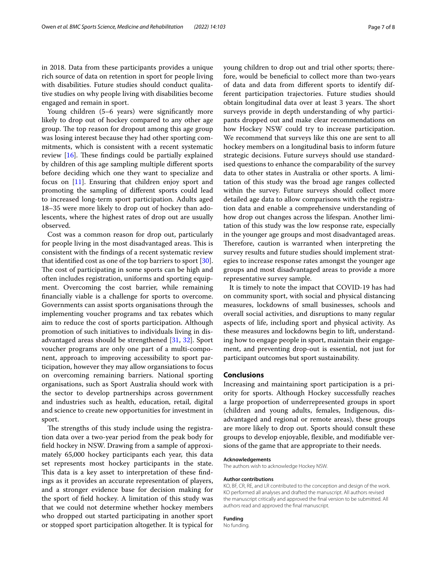in 2018. Data from these participants provides a unique rich source of data on retention in sport for people living with disabilities. Future studies should conduct qualitative studies on why people living with disabilities become engaged and remain in sport.

Young children (5–6 years) were signifcantly more likely to drop out of hockey compared to any other age group. The top reason for dropout among this age group was losing interest because they had other sporting commitments, which is consistent with a recent systematic review  $[16]$  $[16]$ . These findings could be partially explained by children of this age sampling multiple diferent sports before deciding which one they want to specialize and focus on [[11\]](#page-7-9). Ensuring that children enjoy sport and promoting the sampling of diferent sports could lead to increased long-term sport participation. Adults aged 18–35 were more likely to drop out of hockey than adolescents, where the highest rates of drop out are usually observed.

Cost was a common reason for drop out, particularly for people living in the most disadvantaged areas. This is consistent with the fndings of a recent systematic review that identifed cost as one of the top barriers to sport [\[30](#page-7-25)]. The cost of participating in some sports can be high and often includes registration, uniforms and sporting equipment. Overcoming the cost barrier, while remaining fnancially viable is a challenge for sports to overcome. Governments can assist sports organisations through the implementing voucher programs and tax rebates which aim to reduce the cost of sports participation. Although promotion of such initiatives to individuals living in disadvantaged areas should be strengthened [\[31](#page-7-26), [32](#page-7-27)]. Sport voucher programs are only one part of a multi-component, approach to improving accessibility to sport participation, however they may allow organsiations to focus on overcoming remaining barriers. National sporting organisations, such as Sport Australia should work with the sector to develop partnerships across government and industries such as health, education, retail, digital and science to create new opportunities for investment in sport.

The strengths of this study include using the registration data over a two-year period from the peak body for feld hockey in NSW. Drawing from a sample of approximately 65,000 hockey participants each year, this data set represents most hockey participants in the state. This data is a key asset to interpretation of these findings as it provides an accurate representation of players, and a stronger evidence base for decision making for the sport of feld hockey. A limitation of this study was that we could not determine whether hockey members who dropped out started participating in another sport or stopped sport participation altogether. It is typical for young children to drop out and trial other sports; therefore, would be benefcial to collect more than two-years of data and data from diferent sports to identify different participation trajectories. Future studies should obtain longitudinal data over at least 3 years. The short surveys provide in depth understanding of why participants dropped out and make clear recommendations on how Hockey NSW could try to increase participation. We recommend that surveys like this one are sent to all hockey members on a longitudinal basis to inform future strategic decisions. Future surveys should use standardised questions to enhance the comparability of the survey data to other states in Australia or other sports. A limitation of this study was the broad age ranges collected within the survey. Future surveys should collect more detailed age data to allow comparisons with the registration data and enable a comprehensive understanding of how drop out changes across the lifespan. Another limitation of this study was the low response rate, especially in the younger age groups and most disadvantaged areas. Therefore, caution is warranted when interpreting the survey results and future studies should implement strategies to increase response rates amongst the younger age groups and most disadvantaged areas to provide a more representative survey sample.

It is timely to note the impact that COVID-19 has had on community sport, with social and physical distancing measures, lockdowns of small businesses, schools and overall social activities, and disruptions to many regular aspects of life, including sport and physical activity. As these measures and lockdowns begin to lift, understanding how to engage people in sport, maintain their engagement, and preventing drop-out is essential, not just for participant outcomes but sport sustainability.

## **Conclusions**

Increasing and maintaining sport participation is a priority for sports. Although Hockey successfully reaches a large proportion of underrepresented groups in sport (children and young adults, females, Indigenous, disadvantaged and regional or remote areas), these groups are more likely to drop out. Sports should consult these groups to develop enjoyable, fexible, and modifable versions of the game that are appropriate to their needs.

#### **Acknowledgements**

The authors wish to acknowledge Hockey NSW.

#### **Author contributions**

KO, BF, CR, RE, and LR contributed to the conception and design of the work. KO performed all analyses and drafted the manuscript. All authors revised the manuscript critically and approved the fnal version to be submitted. All authors read and approved the fnal manuscript.

#### **Funding**

No funding.